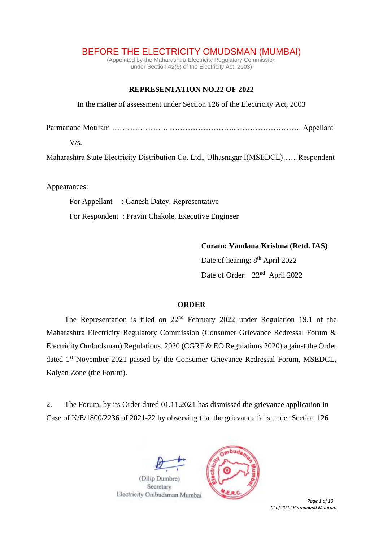## BEFORE THE ELECTRICITY OMUDSMAN (MUMBAI)

(Appointed by the Maharashtra Electricity Regulatory Commission under Section 42(6) of the Electricity Act, 2003)

## **REPRESENTATION NO.22 OF 2022**

In the matter of assessment under Section 126 of the Electricity Act, 2003

Parmanand Motiram …………………. …………………….. ……………………. Appellant

 $V/s$ .

Maharashtra State Electricity Distribution Co. Ltd., Ulhasnagar I(MSEDCL)……Respondent

Appearances:

For Appellant : Ganesh Datey, Representative

For Respondent : Pravin Chakole, Executive Engineer

**Coram: Vandana Krishna (Retd. IAS)**

Date of hearing: 8<sup>th</sup> April 2022 Date of Order: 22<sup>nd</sup> April 2022

## **ORDER**

The Representation is filed on 22nd February 2022 under Regulation 19.1 of the Maharashtra Electricity Regulatory Commission (Consumer Grievance Redressal Forum & Electricity Ombudsman) Regulations, 2020 (CGRF & EO Regulations 2020) against the Order dated 1<sup>st</sup> November 2021 passed by the Consumer Grievance Redressal Forum, MSEDCL, Kalyan Zone (the Forum).

2. The Forum, by its Order dated 01.11.2021 has dismissed the grievance application in Case of K/E/1800/2236 of 2021-22 by observing that the grievance falls under Section 126





*Page 1 of 10 22 of 2022 Permanand Motiram*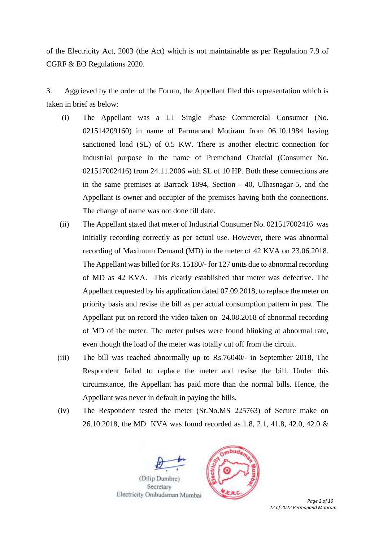of the Electricity Act, 2003 (the Act) which is not maintainable as per Regulation 7.9 of CGRF & EO Regulations 2020.

3. Aggrieved by the order of the Forum, the Appellant filed this representation which is taken in brief as below:

- (i) The Appellant was a LT Single Phase Commercial Consumer (No. 021514209160) in name of Parmanand Motiram from 06.10.1984 having sanctioned load (SL) of 0.5 KW. There is another electric connection for Industrial purpose in the name of Premchand Chatelal (Consumer No. 021517002416) from 24.11.2006 with SL of 10 HP. Both these connections are in the same premises at Barrack 1894, Section - 40, Ulhasnagar-5, and the Appellant is owner and occupier of the premises having both the connections. The change of name was not done till date.
- (ii) The Appellant stated that meter of Industrial Consumer No. 021517002416 was initially recording correctly as per actual use. However, there was abnormal recording of Maximum Demand (MD) in the meter of 42 KVA on 23.06.2018. The Appellant was billed for Rs. 15180/- for 127 units due to abnormal recording of MD as 42 KVA. This clearly established that meter was defective. The Appellant requested by his application dated 07.09.2018, to replace the meter on priority basis and revise the bill as per actual consumption pattern in past. The Appellant put on record the video taken on 24.08.2018 of abnormal recording of MD of the meter. The meter pulses were found blinking at abnormal rate, even though the load of the meter was totally cut off from the circuit.
- (iii) The bill was reached abnormally up to Rs.76040/- in September 2018, The Respondent failed to replace the meter and revise the bill. Under this circumstance, the Appellant has paid more than the normal bills. Hence, the Appellant was never in default in paying the bills.
- (iv) The Respondent tested the meter (Sr.No.MS 225763) of Secure make on 26.10.2018, the MD KVA was found recorded as 1.8, 2.1, 41.8, 42.0, 42.0 &





*Page 2 of 10 22 of 2022 Permanand Motiram*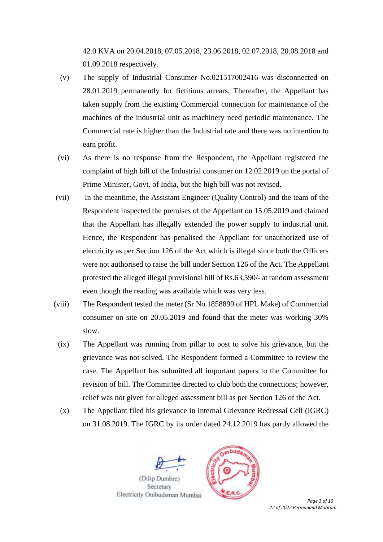42.0 KVA on 20.04.2018, 07.05.2018, 23.06.2018, 02.07.2018, 20.08.2018 and 01.09.2018 respectively.

- (v) The supply of Industrial Consumer No.021517002416 was disconnected on 28.01.2019 permanently for fictitious arrears. Thereafter, the Appellant has taken supply from the existing Commercial connection for maintenance of the machines of the industrial unit as machinery need periodic maintenance. The Commercial rate is higher than the Industrial rate and there was no intention to earn profit.
- (vi) As there is no response from the Respondent, the Appellant registered the complaint of high bill of the Industrial consumer on 12.02.2019 on the portal of Prime Minister, Govt. of India, but the high bill was not revised.
- (vii) In the meantime, the Assistant Engineer (Quality Control) and the team of the Respondent inspected the premises of the Appellant on 15.05.2019 and claimed that the Appellant has illegally extended the power supply to industrial unit. Hence, the Respondent has penalised the Appellant for unauthorized use of electricity as per Section 126 of the Act which is illegal since both the Officers were not authorised to raise the bill under Section 126 of the Act. The Appellant protested the alleged illegal provisional bill of Rs.63,590/- at random assessment even though the reading was available which was very less.
- (viii) The Respondent tested the meter (Sr.No.1858899 of HPL Make) of Commercial consumer on site on 20.05.2019 and found that the meter was working 30% slow.
- (ix) The Appellant was running from pillar to post to solve his grievance, but the grievance was not solved. The Respondent formed a Committee to review the case. The Appellant has submitted all important papers to the Committee for revision of bill. The Committee directed to club both the connections; however, relief was not given for alleged assessment bill as per Section 126 of the Act.
- (x) The Appellant filed his grievance in Internal Grievance Redressal Cell (IGRC) on 31.08.2019. The IGRC by its order dated 24.12.2019 has partly allowed the





*Page 3 of 10 22 of 2022 Permanand Motiram*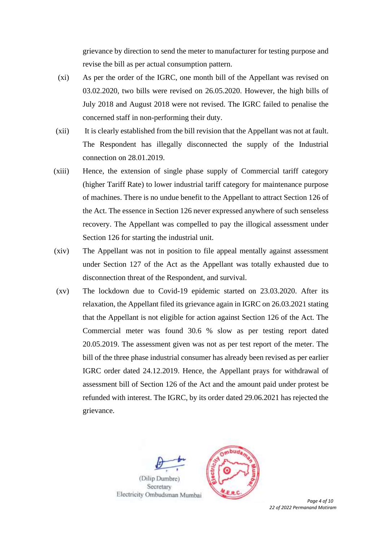grievance by direction to send the meter to manufacturer for testing purpose and revise the bill as per actual consumption pattern.

- (xi) As per the order of the IGRC, one month bill of the Appellant was revised on 03.02.2020, two bills were revised on 26.05.2020. However, the high bills of July 2018 and August 2018 were not revised. The IGRC failed to penalise the concerned staff in non-performing their duty.
- (xii) It is clearly established from the bill revision that the Appellant was not at fault. The Respondent has illegally disconnected the supply of the Industrial connection on 28.01.2019.
- (xiii) Hence, the extension of single phase supply of Commercial tariff category (higher Tariff Rate) to lower industrial tariff category for maintenance purpose of machines. There is no undue benefit to the Appellant to attract Section 126 of the Act. The essence in Section 126 never expressed anywhere of such senseless recovery. The Appellant was compelled to pay the illogical assessment under Section 126 for starting the industrial unit.
- (xiv) The Appellant was not in position to file appeal mentally against assessment under Section 127 of the Act as the Appellant was totally exhausted due to disconnection threat of the Respondent, and survival.
- (xv) The lockdown due to Covid-19 epidemic started on 23.03.2020. After its relaxation, the Appellant filed its grievance again in IGRC on 26.03.2021 stating that the Appellant is not eligible for action against Section 126 of the Act. The Commercial meter was found 30.6 % slow as per testing report dated 20.05.2019. The assessment given was not as per test report of the meter. The bill of the three phase industrial consumer has already been revised as per earlier IGRC order dated 24.12.2019. Hence, the Appellant prays for withdrawal of assessment bill of Section 126 of the Act and the amount paid under protest be refunded with interest. The IGRC, by its order dated 29.06.2021 has rejected the grievance.





*22 of 2022 Permanand Motiram*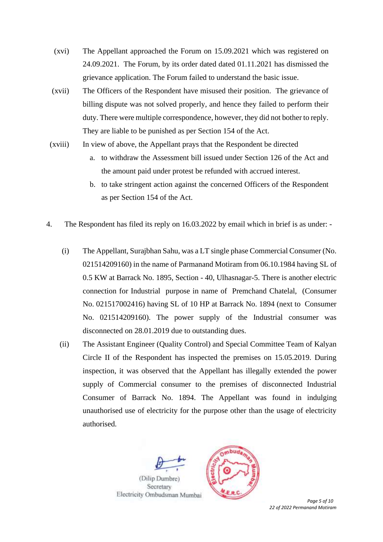- (xvi) The Appellant approached the Forum on 15.09.2021 which was registered on 24.09.2021. The Forum, by its order dated dated 01.11.2021 has dismissed the grievance application. The Forum failed to understand the basic issue.
- (xvii) The Officers of the Respondent have misused their position. The grievance of billing dispute was not solved properly, and hence they failed to perform their duty. There were multiple correspondence, however, they did not bother to reply. They are liable to be punished as per Section 154 of the Act.
- (xviii) In view of above, the Appellant prays that the Respondent be directed
	- a. to withdraw the Assessment bill issued under Section 126 of the Act and the amount paid under protest be refunded with accrued interest.
	- b. to take stringent action against the concerned Officers of the Respondent as per Section 154 of the Act.
- 4. The Respondent has filed its reply on 16.03.2022 by email which in brief is as under:
	- (i) The Appellant, Surajbhan Sahu, was a LT single phase Commercial Consumer (No. 021514209160) in the name of Parmanand Motiram from 06.10.1984 having SL of 0.5 KW at Barrack No. 1895, Section - 40, Ulhasnagar-5. There is another electric connection for Industrial purpose in name of Premchand Chatelal, (Consumer No. 021517002416) having SL of 10 HP at Barrack No. 1894 (next to Consumer No. 021514209160). The power supply of the Industrial consumer was disconnected on 28.01.2019 due to outstanding dues.
	- (ii) The Assistant Engineer (Quality Control) and Special Committee Team of Kalyan Circle II of the Respondent has inspected the premises on 15.05.2019. During inspection, it was observed that the Appellant has illegally extended the power supply of Commercial consumer to the premises of disconnected Industrial Consumer of Barrack No. 1894. The Appellant was found in indulging unauthorised use of electricity for the purpose other than the usage of electricity authorised.



*Page 5 of 10 22 of 2022 Permanand Motiram*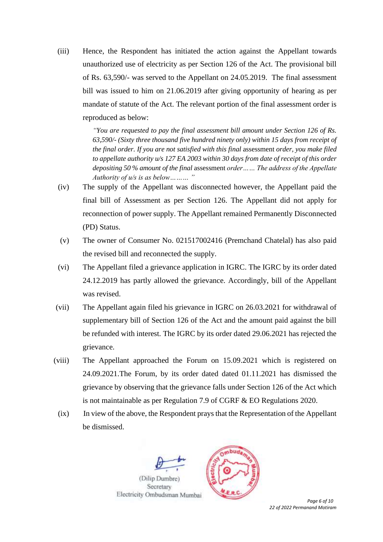(iii) Hence, the Respondent has initiated the action against the Appellant towards unauthorized use of electricity as per Section 126 of the Act. The provisional bill of Rs. 63,590/- was served to the Appellant on 24.05.2019. The final assessment bill was issued to him on 21.06.2019 after giving opportunity of hearing as per mandate of statute of the Act. The relevant portion of the final assessment order is reproduced as below:

> *"You are requested to pay the final assessment bill amount under Section 126 of Rs. 63,590/- (Sixty three thousand five hundred ninety only) within 15 days from receipt of the final order. If you are not satisfied with this final* assessment *order, you make filed to appellate authority u/s 127 EA 2003 within 30 days from date of receipt of this order depositing 50 % amount of the final* assessment *order…… The address of the Appellate Authority of u/s is as below……… "*

- (iv) The supply of the Appellant was disconnected however, the Appellant paid the final bill of Assessment as per Section 126. The Appellant did not apply for reconnection of power supply. The Appellant remained Permanently Disconnected (PD) Status.
- (v) The owner of Consumer No. 021517002416 (Premchand Chatelal) has also paid the revised bill and reconnected the supply.
- (vi) The Appellant filed a grievance application in IGRC. The IGRC by its order dated 24.12.2019 has partly allowed the grievance. Accordingly, bill of the Appellant was revised.
- (vii) The Appellant again filed his grievance in IGRC on 26.03.2021 for withdrawal of supplementary bill of Section 126 of the Act and the amount paid against the bill be refunded with interest. The IGRC by its order dated 29.06.2021 has rejected the grievance.
- (viii) The Appellant approached the Forum on 15.09.2021 which is registered on 24.09.2021.The Forum, by its order dated dated 01.11.2021 has dismissed the grievance by observing that the grievance falls under Section 126 of the Act which is not maintainable as per Regulation 7.9 of CGRF & EO Regulations 2020.
- (ix) In view of the above, the Respondent prays that the Representation of the Appellant be dismissed.





*Page 6 of 10 22 of 2022 Permanand Motiram*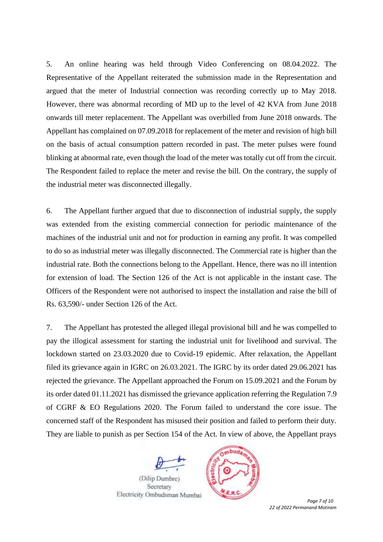5. An online hearing was held through Video Conferencing on 08.04.2022. The Representative of the Appellant reiterated the submission made in the Representation and argued that the meter of Industrial connection was recording correctly up to May 2018. However, there was abnormal recording of MD up to the level of 42 KVA from June 2018 onwards till meter replacement. The Appellant was overbilled from June 2018 onwards. The Appellant has complained on 07.09.2018 for replacement of the meter and revision of high bill on the basis of actual consumption pattern recorded in past. The meter pulses were found blinking at abnormal rate, even though the load of the meter was totally cut off from the circuit. The Respondent failed to replace the meter and revise the bill. On the contrary, the supply of the industrial meter was disconnected illegally.

6. The Appellant further argued that due to disconnection of industrial supply, the supply was extended from the existing commercial connection for periodic maintenance of the machines of the industrial unit and not for production in earning any profit. It was compelled to do so as industrial meter was illegally disconnected. The Commercial rate is higher than the industrial rate. Both the connections belong to the Appellant. Hence, there was no ill intention for extension of load. The Section 126 of the Act is not applicable in the instant case. The Officers of the Respondent were not authorised to inspect the installation and raise the bill of Rs. 63,590/- under Section 126 of the Act.

7. The Appellant has protested the alleged illegal provisional bill and he was compelled to pay the illogical assessment for starting the industrial unit for livelihood and survival. The lockdown started on 23.03.2020 due to Covid-19 epidemic. After relaxation, the Appellant filed its grievance again in IGRC on 26.03.2021. The IGRC by its order dated 29.06.2021 has rejected the grievance. The Appellant approached the Forum on 15.09.2021 and the Forum by its order dated 01.11.2021 has dismissed the grievance application referring the Regulation 7.9 of CGRF & EO Regulations 2020. The Forum failed to understand the core issue. The concerned staff of the Respondent has misused their position and failed to perform their duty. They are liable to punish as per Section 154 of the Act. In view of above, the Appellant prays





*Page 7 of 10 22 of 2022 Permanand Motiram*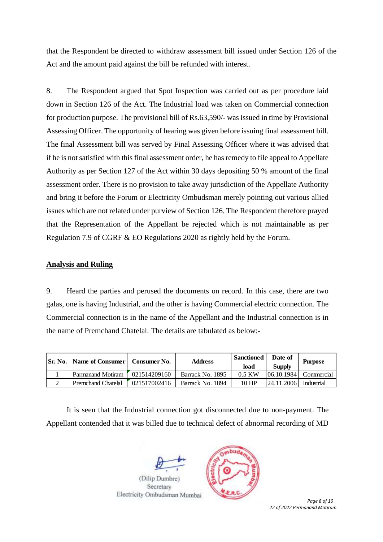that the Respondent be directed to withdraw assessment bill issued under Section 126 of the Act and the amount paid against the bill be refunded with interest.

8. The Respondent argued that Spot Inspection was carried out as per procedure laid down in Section 126 of the Act. The Industrial load was taken on Commercial connection for production purpose. The provisional bill of Rs.63,590/- was issued in time by Provisional Assessing Officer. The opportunity of hearing was given before issuing final assessment bill. The final Assessment bill was served by Final Assessing Officer where it was advised that if he is not satisfied with this final assessment order, he has remedy to file appeal to Appellate Authority as per Section 127 of the Act within 30 days depositing 50 % amount of the final assessment order. There is no provision to take away jurisdiction of the Appellate Authority and bring it before the Forum or Electricity Ombudsman merely pointing out various allied issues which are not related under purview of Section 126. The Respondent therefore prayed that the Representation of the Appellant be rejected which is not maintainable as per Regulation 7.9 of CGRF & EO Regulations 2020 as rightly held by the Forum.

## **Analysis and Ruling**

9. Heard the parties and perused the documents on record. In this case, there are two galas, one is having Industrial, and the other is having Commercial electric connection. The Commercial connection is in the name of the Appellant and the Industrial connection is in the name of Premchand Chatelal. The details are tabulated as below:-

| <b>Sr. No.</b> | Name of Consumer          | Consumer No. | <b>Address</b>   | <b>Sanctioned</b><br>load | Date of<br><b>Supply</b> | <b>Purpose</b> |
|----------------|---------------------------|--------------|------------------|---------------------------|--------------------------|----------------|
|                | Parmanand Motiram         | 021514209160 | Barrack No. 1895 | $0.5$ KW                  | [06.10.1984]             | Commercial     |
|                | <b>Premchand Chatelal</b> | 021517002416 | Barrack No. 1894 | 10 HP                     | 24.11.2006               | Industrial     |

It is seen that the Industrial connection got disconnected due to non-payment. The Appellant contended that it was billed due to technical defect of abnormal recording of MD





*Page 8 of 10 22 of 2022 Permanand Motiram*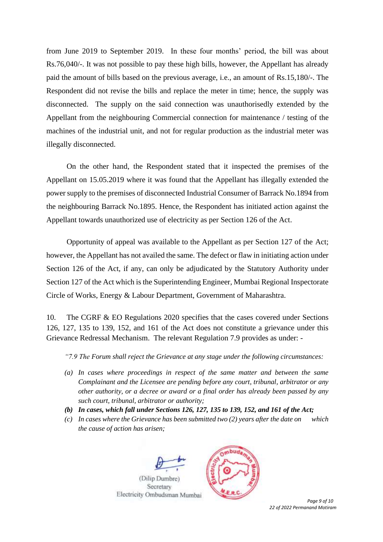from June 2019 to September 2019. In these four months' period, the bill was about Rs.76,040/-. It was not possible to pay these high bills, however, the Appellant has already paid the amount of bills based on the previous average, i.e., an amount of Rs.15,180/-. The Respondent did not revise the bills and replace the meter in time; hence, the supply was disconnected. The supply on the said connection was unauthorisedly extended by the Appellant from the neighbouring Commercial connection for maintenance / testing of the machines of the industrial unit, and not for regular production as the industrial meter was illegally disconnected.

On the other hand, the Respondent stated that it inspected the premises of the Appellant on 15.05.2019 where it was found that the Appellant has illegally extended the power supply to the premises of disconnected Industrial Consumer of Barrack No.1894 from the neighbouring Barrack No.1895. Hence, the Respondent has initiated action against the Appellant towards unauthorized use of electricity as per Section 126 of the Act.

Opportunity of appeal was available to the Appellant as per Section 127 of the Act; however, the Appellant has not availed the same. The defect or flaw in initiating action under Section 126 of the Act, if any, can only be adjudicated by the Statutory Authority under Section 127 of the Act which is the Superintending Engineer, Mumbai Regional Inspectorate Circle of Works, Energy & Labour Department, Government of Maharashtra.

10. The CGRF & EO Regulations 2020 specifies that the cases covered under Sections 126, 127, 135 to 139, 152, and 161 of the Act does not constitute a grievance under this Grievance Redressal Mechanism. The relevant Regulation 7.9 provides as under: -

*"7.9 The Forum shall reject the Grievance at any stage under the following circumstances:* 

- *(a) In cases where proceedings in respect of the same matter and between the same Complainant and the Licensee are pending before any court, tribunal, arbitrator or any other authority, or a decree or award or a final order has already been passed by any such court, tribunal, arbitrator or authority;*
- *(b) In cases, which fall under Sections 126, 127, 135 to 139, 152, and 161 of the Act;*
- *(c) In cases where the Grievance has been submitted two (2) years after the date on which the cause of action has arisen;*





 *Page 9 of 10 22 of 2022 Permanand Motiram*